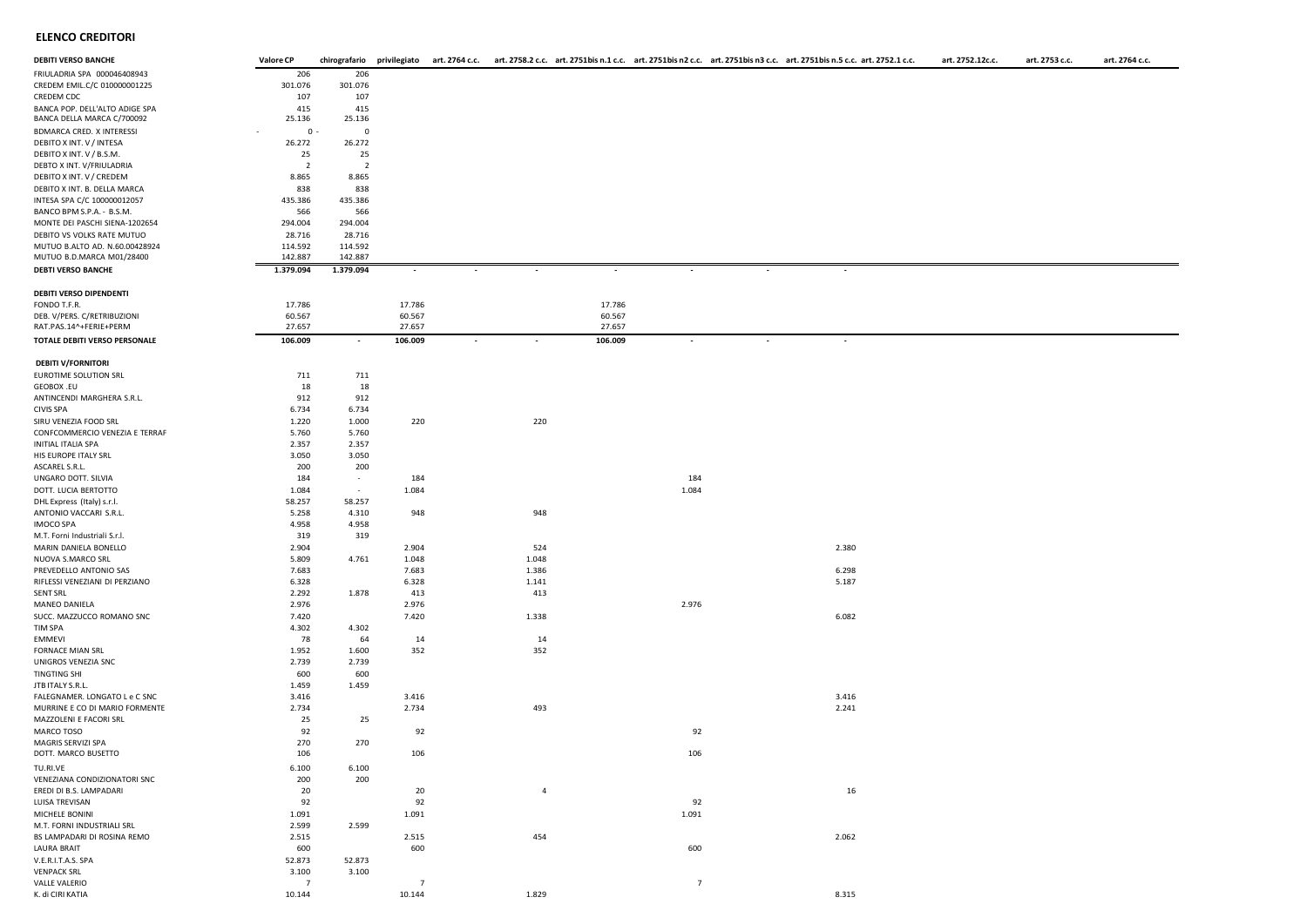## **ELENCO CREDITORI**

| <b>DEBITI VERSO BANCHE</b>     | <b>Valore CP</b> |                |                          |                          |                |         |                          |                          | chirografario privilegiato art. 2764 c.c. art. 2758.2 c.c. art. 2751bis n.1 c.c. art. 2751bis n2 c.c. art. 2751bis n3 c.c. art. 2751bis n.5 c.c. art. 2751bis n.5 c.c. art. 2751bis n.5 c.c. art. 2751bis n.5 c.c. art. 2752.1 | art. 2752.12c.c. | art. 2753 c.c. | art. 2764 c.c. |
|--------------------------------|------------------|----------------|--------------------------|--------------------------|----------------|---------|--------------------------|--------------------------|--------------------------------------------------------------------------------------------------------------------------------------------------------------------------------------------------------------------------------|------------------|----------------|----------------|
| FRIULADRIA SPA 000046408943    | 206              | 206            |                          |                          |                |         |                          |                          |                                                                                                                                                                                                                                |                  |                |                |
| CREDEM EMIL.C/C 010000001225   | 301.076          | 301.076        |                          |                          |                |         |                          |                          |                                                                                                                                                                                                                                |                  |                |                |
| CREDEM CDC                     | 107              | 107            |                          |                          |                |         |                          |                          |                                                                                                                                                                                                                                |                  |                |                |
| BANCA POP. DELL'ALTO ADIGE SPA | 415              | 415            |                          |                          |                |         |                          |                          |                                                                                                                                                                                                                                |                  |                |                |
| BANCA DELLA MARCA C/700092     | 25.136           | 25.136         |                          |                          |                |         |                          |                          |                                                                                                                                                                                                                                |                  |                |                |
| BDMARCA CRED. X INTERESSI      | $0 -$            | $\mathbf 0$    |                          |                          |                |         |                          |                          |                                                                                                                                                                                                                                |                  |                |                |
| DEBITO X INT. V / INTESA       | 26.272           | 26.272         |                          |                          |                |         |                          |                          |                                                                                                                                                                                                                                |                  |                |                |
| DEBITO X INT. V / B.S.M.       | 25               | 25             |                          |                          |                |         |                          |                          |                                                                                                                                                                                                                                |                  |                |                |
| DEBTO X INT. V/FRIULADRIA      | $\overline{2}$   | $\overline{2}$ |                          |                          |                |         |                          |                          |                                                                                                                                                                                                                                |                  |                |                |
| DEBITO X INT. V / CREDEM       | 8.865            | 8.865          |                          |                          |                |         |                          |                          |                                                                                                                                                                                                                                |                  |                |                |
| DEBITO X INT. B. DELLA MARCA   | 838              | 838            |                          |                          |                |         |                          |                          |                                                                                                                                                                                                                                |                  |                |                |
| INTESA SPA C/C 100000012057    | 435.386          | 435.386        |                          |                          |                |         |                          |                          |                                                                                                                                                                                                                                |                  |                |                |
|                                |                  |                |                          |                          |                |         |                          |                          |                                                                                                                                                                                                                                |                  |                |                |
| BANCO BPM S.P.A. - B.S.M.      | 566              | 566            |                          |                          |                |         |                          |                          |                                                                                                                                                                                                                                |                  |                |                |
| MONTE DEI PASCHI SIENA-1202654 | 294.004          | 294.004        |                          |                          |                |         |                          |                          |                                                                                                                                                                                                                                |                  |                |                |
| DEBITO VS VOLKS RATE MUTUO     | 28.716           | 28.716         |                          |                          |                |         |                          |                          |                                                                                                                                                                                                                                |                  |                |                |
| MUTUO B.ALTO AD. N.60.00428924 | 114.592          | 114.592        |                          |                          |                |         |                          |                          |                                                                                                                                                                                                                                |                  |                |                |
| MUTUO B.D.MARCA M01/28400      | 142.887          | 142.887        |                          |                          |                |         |                          |                          |                                                                                                                                                                                                                                |                  |                |                |
| <b>DEBTI VERSO BANCHE</b>      | 1.379.094        | 1.379.094      | $\overline{\phantom{a}}$ |                          |                |         |                          |                          |                                                                                                                                                                                                                                |                  |                |                |
|                                |                  |                |                          |                          |                |         |                          |                          |                                                                                                                                                                                                                                |                  |                |                |
| DEBITI VERSO DIPENDENTI        |                  |                |                          |                          |                |         |                          |                          |                                                                                                                                                                                                                                |                  |                |                |
| FONDO T.F.R.                   | 17.786           |                | 17.786                   |                          |                | 17.786  |                          |                          |                                                                                                                                                                                                                                |                  |                |                |
| DEB. V/PERS. C/RETRIBUZIONI    | 60.567           |                | 60.567                   |                          |                | 60.567  |                          |                          |                                                                                                                                                                                                                                |                  |                |                |
| RAT.PAS.14^+FERIE+PERM         | 27.657           |                | 27.657                   |                          |                | 27.657  |                          |                          |                                                                                                                                                                                                                                |                  |                |                |
| TOTALE DEBITI VERSO PERSONALE  | 106.009          | $\sim$         | 106.009                  | $\overline{\phantom{a}}$ |                | 106.009 | $\overline{\phantom{a}}$ | $\overline{\phantom{a}}$ | $\overline{\phantom{a}}$                                                                                                                                                                                                       |                  |                |                |
| <b>DEBITI V/FORNITORI</b>      |                  |                |                          |                          |                |         |                          |                          |                                                                                                                                                                                                                                |                  |                |                |
| EUROTIME SOLUTION SRL          |                  | 711            |                          |                          |                |         |                          |                          |                                                                                                                                                                                                                                |                  |                |                |
|                                | 711              |                |                          |                          |                |         |                          |                          |                                                                                                                                                                                                                                |                  |                |                |
| GEOBOX .EU                     | 18               | 18             |                          |                          |                |         |                          |                          |                                                                                                                                                                                                                                |                  |                |                |
| ANTINCENDI MARGHERA S.R.L.     | 912              | 912            |                          |                          |                |         |                          |                          |                                                                                                                                                                                                                                |                  |                |                |
| CIVIS SPA                      | 6.734            | 6.734          |                          |                          |                |         |                          |                          |                                                                                                                                                                                                                                |                  |                |                |
| SIRU VENEZIA FOOD SRL          | 1.220            | 1.000          | 220                      |                          | 220            |         |                          |                          |                                                                                                                                                                                                                                |                  |                |                |
| CONFCOMMERCIO VENEZIA E TERRAF | 5.760            | 5.760          |                          |                          |                |         |                          |                          |                                                                                                                                                                                                                                |                  |                |                |
| INITIAL ITALIA SPA             | 2.357            | 2.357          |                          |                          |                |         |                          |                          |                                                                                                                                                                                                                                |                  |                |                |
| HIS EUROPE ITALY SRL           | 3.050            | 3.050          |                          |                          |                |         |                          |                          |                                                                                                                                                                                                                                |                  |                |                |
| ASCAREL S.R.L.                 | 200              | 200            |                          |                          |                |         |                          |                          |                                                                                                                                                                                                                                |                  |                |                |
| UNGARO DOTT. SILVIA            | 184              | $\sim$         | 184                      |                          |                |         | 184                      |                          |                                                                                                                                                                                                                                |                  |                |                |
| DOTT. LUCIA BERTOTTO           | 1.084            | $\sim$         | 1.084                    |                          |                |         | 1.084                    |                          |                                                                                                                                                                                                                                |                  |                |                |
| DHL Express (Italy) s.r.l.     | 58.257           | 58.257         |                          |                          |                |         |                          |                          |                                                                                                                                                                                                                                |                  |                |                |
| ANTONIO VACCARI S.R.L.         | 5.258            | 4.310          | 948                      |                          | 948            |         |                          |                          |                                                                                                                                                                                                                                |                  |                |                |
| IMOCO SPA                      | 4.958            | 4.958          |                          |                          |                |         |                          |                          |                                                                                                                                                                                                                                |                  |                |                |
| M.T. Forni Industriali S.r.l.  | 319              | 319            |                          |                          |                |         |                          |                          |                                                                                                                                                                                                                                |                  |                |                |
| MARIN DANIELA BONELLO          | 2.904            |                | 2.904                    |                          | 524            |         |                          |                          | 2.380                                                                                                                                                                                                                          |                  |                |                |
| NUOVA S.MARCO SRL              | 5.809            | 4.761          | 1.048                    |                          | 1.048          |         |                          |                          |                                                                                                                                                                                                                                |                  |                |                |
| PREVEDELLO ANTONIO SAS         | 7.683            |                | 7.683                    |                          | 1.386          |         |                          |                          | 6.298                                                                                                                                                                                                                          |                  |                |                |
| RIFLESSI VENEZIANI DI PERZIANO | 6.328            |                | 6.328                    |                          | 1.141          |         |                          |                          | 5.187                                                                                                                                                                                                                          |                  |                |                |
| SENT SRL                       | 2.292            | 1.878          | 413                      |                          | 413            |         |                          |                          |                                                                                                                                                                                                                                |                  |                |                |
| MANEO DANIELA                  | 2.976            |                | 2.976                    |                          |                |         | 2.976                    |                          |                                                                                                                                                                                                                                |                  |                |                |
| SUCC. MAZZUCCO ROMANO SNC      | 7.420            |                | 7.420                    |                          | 1.338          |         |                          |                          | 6.082                                                                                                                                                                                                                          |                  |                |                |
| TIM SPA                        | 4.302            | 4.302          |                          |                          |                |         |                          |                          |                                                                                                                                                                                                                                |                  |                |                |
| EMMEVI                         | 78               | 64             | 14                       |                          | 14             |         |                          |                          |                                                                                                                                                                                                                                |                  |                |                |
| FORNACE MIAN SRL               | 1.952            | 1.600          | 352                      |                          | 352            |         |                          |                          |                                                                                                                                                                                                                                |                  |                |                |
| UNIGROS VENEZIA SNC            | 2.739            | 2.739          |                          |                          |                |         |                          |                          |                                                                                                                                                                                                                                |                  |                |                |
| TINGTING SHI                   | 600              | 600            |                          |                          |                |         |                          |                          |                                                                                                                                                                                                                                |                  |                |                |
| JTB ITALY S.R.L.               | 1.459            | 1.459          |                          |                          |                |         |                          |                          |                                                                                                                                                                                                                                |                  |                |                |
| FALEGNAMER. LONGATO L e C SNC  | 3.416            |                | 3.416                    |                          |                |         |                          |                          | 3.416                                                                                                                                                                                                                          |                  |                |                |
| MURRINE E CO DI MARIO FORMENTE | 2.734            |                | 2.734                    |                          | 493            |         |                          |                          | 2.241                                                                                                                                                                                                                          |                  |                |                |
| MAZZOLENI E FACORI SRL         | 25               | 25             |                          |                          |                |         |                          |                          |                                                                                                                                                                                                                                |                  |                |                |
| MARCO TOSO                     | 92               |                | 92                       |                          |                |         | 92                       |                          |                                                                                                                                                                                                                                |                  |                |                |
| MAGRIS SERVIZI SPA             | 270              | 270            |                          |                          |                |         |                          |                          |                                                                                                                                                                                                                                |                  |                |                |
| DOTT. MARCO BUSETTO            | 106              |                | 106                      |                          |                |         | 106                      |                          |                                                                                                                                                                                                                                |                  |                |                |
|                                |                  |                |                          |                          |                |         |                          |                          |                                                                                                                                                                                                                                |                  |                |                |
| TU.RI.VE                       | 6.100            | 6.100          |                          |                          |                |         |                          |                          |                                                                                                                                                                                                                                |                  |                |                |
| VENEZIANA CONDIZIONATORI SNC   | 200              | 200            |                          |                          |                |         |                          |                          |                                                                                                                                                                                                                                |                  |                |                |
| EREDI DI B.S. LAMPADARI        | 20               |                | 20                       |                          | $\overline{4}$ |         |                          |                          | 16                                                                                                                                                                                                                             |                  |                |                |
| LUISA TREVISAN                 | 92               |                | 92                       |                          |                |         | 92                       |                          |                                                                                                                                                                                                                                |                  |                |                |
| MICHELE BONINI                 | 1.091            |                | 1.091                    |                          |                |         | 1.091                    |                          |                                                                                                                                                                                                                                |                  |                |                |
| M.T. FORNI INDUSTRIALI SRL     | 2.599            | 2.599          |                          |                          |                |         |                          |                          |                                                                                                                                                                                                                                |                  |                |                |
| BS LAMPADARI DI ROSINA REMO    | 2.515            |                | 2.515                    |                          | 454            |         |                          |                          | 2.062                                                                                                                                                                                                                          |                  |                |                |
| LAURA BRAIT                    | 600              |                | 600                      |                          |                |         | 600                      |                          |                                                                                                                                                                                                                                |                  |                |                |
| V.E.R.I.T.A.S. SPA             | 52.873           | 52.873         |                          |                          |                |         |                          |                          |                                                                                                                                                                                                                                |                  |                |                |
| <b>VENPACK SRL</b>             | 3.100            | 3.100          |                          |                          |                |         |                          |                          |                                                                                                                                                                                                                                |                  |                |                |
|                                |                  |                |                          |                          |                |         |                          |                          |                                                                                                                                                                                                                                |                  |                |                |

VALLE VALERIO 7 7 7 K. di CIRI KATIA 10.145 10.144 1.829 10.144 1.829 10.144 1.829 10.144 1.829 1.829 1.829 1.829 1.829 1.829 1.829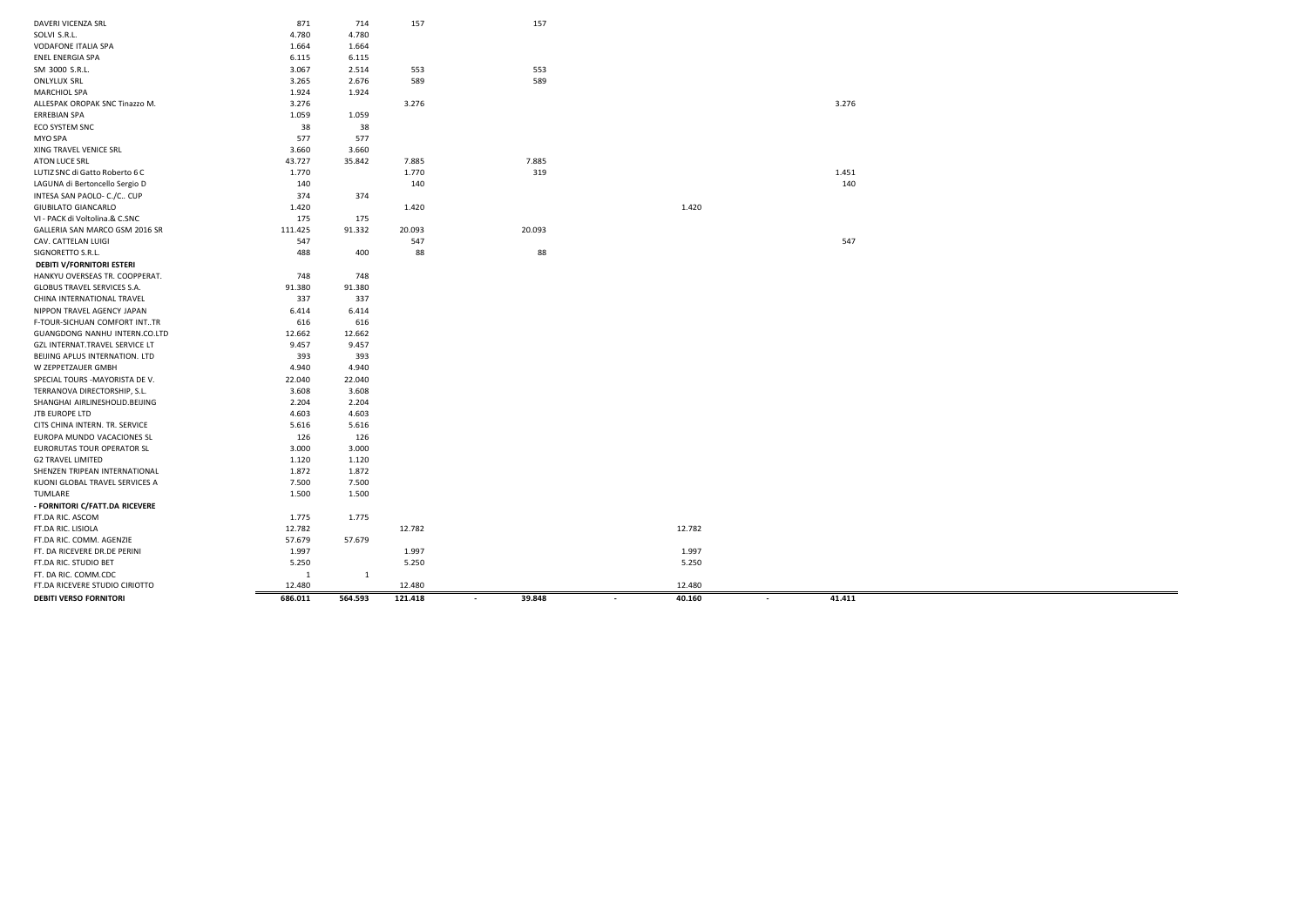| DAVERI VICENZA SRL               | 871          | 714          | 157     | 157                                |                                    |                  |  |
|----------------------------------|--------------|--------------|---------|------------------------------------|------------------------------------|------------------|--|
| SOLVI S.R.L.                     | 4.780        | 4.780        |         |                                    |                                    |                  |  |
| VODAFONE ITALIA SPA              | 1.664        | 1.664        |         |                                    |                                    |                  |  |
| ENEL ENERGIA SPA                 | 6.115        | 6.115        |         |                                    |                                    |                  |  |
| SM 3000 S.R.L.                   | 3.067        | 2.514        | 553     | 553                                |                                    |                  |  |
| <b>ONLYLUX SRL</b>               | 3.265        | 2.676        | 589     | 589                                |                                    |                  |  |
| MARCHIOL SPA                     | 1.924        | 1.924        |         |                                    |                                    |                  |  |
| ALLESPAK OROPAK SNC Tinazzo M.   | 3.276        |              | 3.276   |                                    |                                    | 3.276            |  |
| <b>ERREBIAN SPA</b>              | 1.059        | 1.059        |         |                                    |                                    |                  |  |
| ECO SYSTEM SNC                   | 38           | 38           |         |                                    |                                    |                  |  |
| MYO SPA                          | 577          | 577          |         |                                    |                                    |                  |  |
| XING TRAVEL VENICE SRL           | 3.660        | 3.660        |         |                                    |                                    |                  |  |
| ATON LUCE SRL                    | 43.727       | 35.842       | 7.885   | 7.885                              |                                    |                  |  |
| LUTIZ SNC di Gatto Roberto 6 C   | 1.770        |              | 1.770   | 319                                |                                    | 1.451            |  |
| LAGUNA di Bertoncello Sergio D   | 140          |              | 140     |                                    |                                    | 140              |  |
| INTESA SAN PAOLO- C./C CUP       | 374          | 374          |         |                                    |                                    |                  |  |
| GIUBILATO GIANCARLO              | 1.420        |              | 1.420   |                                    | 1.420                              |                  |  |
| VI - PACK di Voltolina.& C.SNC   | 175          | 175          |         |                                    |                                    |                  |  |
| GALLERIA SAN MARCO GSM 2016 SR   | 111.425      | 91.332       | 20.093  | 20.093                             |                                    |                  |  |
| CAV. CATTELAN LUIGI              | 547          |              | 547     |                                    |                                    | 547              |  |
| SIGNORETTO S.R.L.                | 488          | 400          | 88      | 88                                 |                                    |                  |  |
| <b>DEBITI V/FORNITORI ESTERI</b> |              |              |         |                                    |                                    |                  |  |
| HANKYU OVERSEAS TR. COOPPERAT.   | 748          | 748          |         |                                    |                                    |                  |  |
| GLOBUS TRAVEL SERVICES S.A.      | 91.380       | 91.380       |         |                                    |                                    |                  |  |
| CHINA INTERNATIONAL TRAVEL       | 337          | 337          |         |                                    |                                    |                  |  |
| NIPPON TRAVEL AGENCY JAPAN       | 6.414        | 6.414        |         |                                    |                                    |                  |  |
| F-TOUR-SICHUAN COMFORT INTTR     | 616          | 616          |         |                                    |                                    |                  |  |
| GUANGDONG NANHU INTERN.CO.LTD    | 12.662       | 12.662       |         |                                    |                                    |                  |  |
| GZL INTERNAT.TRAVEL SERVICE LT   | 9.457        | 9.457        |         |                                    |                                    |                  |  |
| BEIJING APLUS INTERNATION. LTD   | 393          | 393          |         |                                    |                                    |                  |  |
| W ZEPPETZAUER GMBH               | 4.940        | 4.940        |         |                                    |                                    |                  |  |
| SPECIAL TOURS - MAYORISTA DE V.  | 22.040       | 22.040       |         |                                    |                                    |                  |  |
| TERRANOVA DIRECTORSHIP, S.L.     | 3.608        | 3.608        |         |                                    |                                    |                  |  |
| SHANGHAI AIRLINESHOLID.BEIJING   | 2.204        | 2.204        |         |                                    |                                    |                  |  |
| <b>JTB EUROPE LTD</b>            | 4.603        | 4.603        |         |                                    |                                    |                  |  |
| CITS CHINA INTERN. TR. SERVICE   | 5.616        | 5.616        |         |                                    |                                    |                  |  |
| EUROPA MUNDO VACACIONES SL       | 126          | 126          |         |                                    |                                    |                  |  |
| EURORUTAS TOUR OPERATOR SL       | 3.000        | 3.000        |         |                                    |                                    |                  |  |
| <b>G2 TRAVEL LIMITED</b>         | 1.120        | 1.120        |         |                                    |                                    |                  |  |
| SHENZEN TRIPEAN INTERNATIONAL    | 1.872        | 1.872        |         |                                    |                                    |                  |  |
| KUONI GLOBAL TRAVEL SERVICES A   | 7.500        | 7.500        |         |                                    |                                    |                  |  |
| TUMLARE                          | 1.500        | 1.500        |         |                                    |                                    |                  |  |
| - FORNITORI C/FATT.DA RICEVERE   |              |              |         |                                    |                                    |                  |  |
| FT.DA RIC. ASCOM                 | 1.775        | 1.775        |         |                                    |                                    |                  |  |
| FT.DA RIC. LISIOLA               | 12.782       |              | 12.782  |                                    | 12.782                             |                  |  |
| FT.DA RIC. COMM. AGENZIE         | 57.679       | 57.679       |         |                                    |                                    |                  |  |
| FT. DA RICEVERE DR.DE PERINI     | 1.997        |              | 1.997   |                                    | 1.997                              |                  |  |
| FT.DA RIC. STUDIO BET            | 5.250        |              | 5.250   |                                    | 5.250                              |                  |  |
| FT. DA RIC. COMM.CDC             | $\mathbf{1}$ | <sup>1</sup> |         |                                    |                                    |                  |  |
| FT.DA RICEVERE STUDIO CIRIOTTO   | 12.480       |              | 12.480  |                                    | 12.480                             |                  |  |
| <b>DEBITI VERSO FORNITORI</b>    | 686.011      | 564.593      | 121.418 | 39.848<br>$\overline{\phantom{a}}$ | 40.160<br>$\overline{\phantom{a}}$ | 41.411<br>$\sim$ |  |
|                                  |              |              |         |                                    |                                    |                  |  |